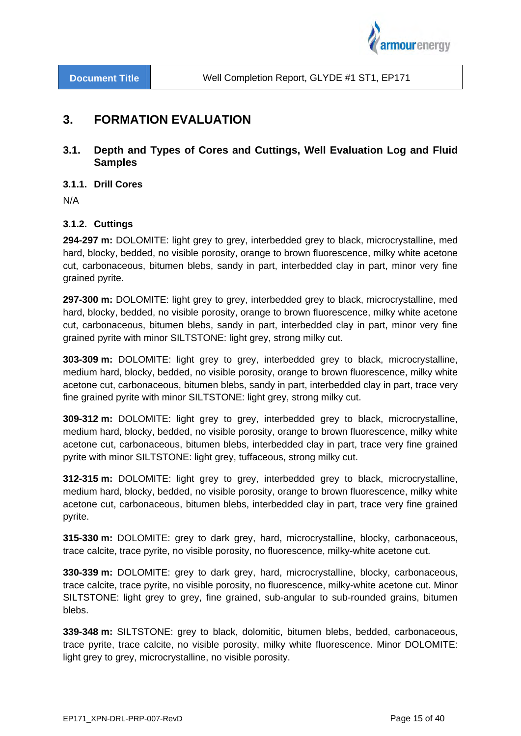

# **3. FORMATION EVALUATION**

## **3.1. Depth and Types of Cores and Cuttings, Well Evaluation Log and Fluid Samples**

**3.1.1. Drill Cores** 

N/A

## **3.1.2. Cuttings**

**294-297 m:** DOLOMITE: light grey to grey, interbedded grey to black, microcrystalline, med hard, blocky, bedded, no visible porosity, orange to brown fluorescence, milky white acetone cut, carbonaceous, bitumen blebs, sandy in part, interbedded clay in part, minor very fine grained pyrite.

**297-300 m:** DOLOMITE: light grey to grey, interbedded grey to black, microcrystalline, med hard, blocky, bedded, no visible porosity, orange to brown fluorescence, milky white acetone cut, carbonaceous, bitumen blebs, sandy in part, interbedded clay in part, minor very fine grained pyrite with minor SILTSTONE: light grey, strong milky cut.

**303-309 m:** DOLOMITE: light grey to grey, interbedded grey to black, microcrystalline, medium hard, blocky, bedded, no visible porosity, orange to brown fluorescence, milky white acetone cut, carbonaceous, bitumen blebs, sandy in part, interbedded clay in part, trace very fine grained pyrite with minor SILTSTONE: light grey, strong milky cut.

**309-312 m:** DOLOMITE: light grey to grey, interbedded grey to black, microcrystalline, medium hard, blocky, bedded, no visible porosity, orange to brown fluorescence, milky white acetone cut, carbonaceous, bitumen blebs, interbedded clay in part, trace very fine grained pyrite with minor SILTSTONE: light grey, tuffaceous, strong milky cut.

**312-315 m:** DOLOMITE: light grey to grey, interbedded grey to black, microcrystalline, medium hard, blocky, bedded, no visible porosity, orange to brown fluorescence, milky white acetone cut, carbonaceous, bitumen blebs, interbedded clay in part, trace very fine grained pyrite.

**315-330 m:** DOLOMITE: grey to dark grey, hard, microcrystalline, blocky, carbonaceous, trace calcite, trace pyrite, no visible porosity, no fluorescence, milky-white acetone cut.

**330-339 m:** DOLOMITE: grey to dark grey, hard, microcrystalline, blocky, carbonaceous, trace calcite, trace pyrite, no visible porosity, no fluorescence, milky-white acetone cut. Minor SILTSTONE: light grey to grey, fine grained, sub-angular to sub-rounded grains, bitumen blebs.

**339-348 m:** SILTSTONE: grey to black, dolomitic, bitumen blebs, bedded, carbonaceous, trace pyrite, trace calcite, no visible porosity, milky white fluorescence. Minor DOLOMITE: light grey to grey, microcrystalline, no visible porosity.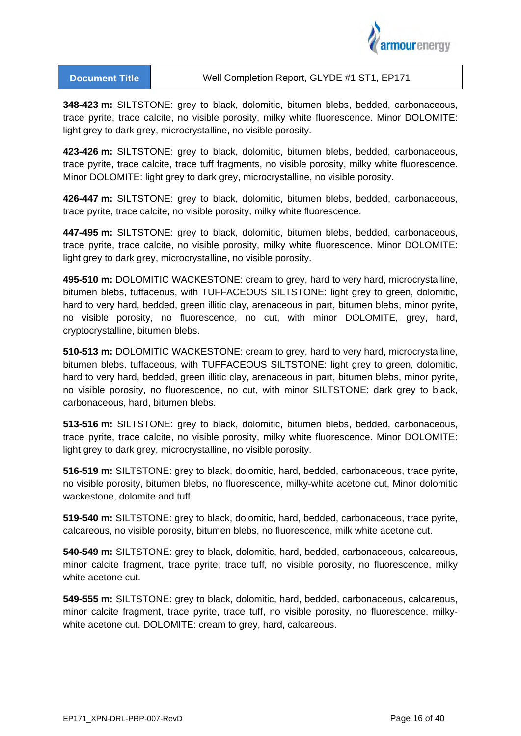

**348-423 m:** SILTSTONE: grey to black, dolomitic, bitumen blebs, bedded, carbonaceous, trace pyrite, trace calcite, no visible porosity, milky white fluorescence. Minor DOLOMITE: light grey to dark grey, microcrystalline, no visible porosity.

**423-426 m:** SILTSTONE: grey to black, dolomitic, bitumen blebs, bedded, carbonaceous, trace pyrite, trace calcite, trace tuff fragments, no visible porosity, milky white fluorescence. Minor DOLOMITE: light grey to dark grey, microcrystalline, no visible porosity.

**426-447 m:** SILTSTONE: grey to black, dolomitic, bitumen blebs, bedded, carbonaceous, trace pyrite, trace calcite, no visible porosity, milky white fluorescence.

**447-495 m:** SILTSTONE: grey to black, dolomitic, bitumen blebs, bedded, carbonaceous, trace pyrite, trace calcite, no visible porosity, milky white fluorescence. Minor DOLOMITE: light grey to dark grey, microcrystalline, no visible porosity.

**495-510 m:** DOLOMITIC WACKESTONE: cream to grey, hard to very hard, microcrystalline, bitumen blebs, tuffaceous, with TUFFACEOUS SILTSTONE: light grey to green, dolomitic, hard to very hard, bedded, green illitic clay, arenaceous in part, bitumen blebs, minor pyrite, no visible porosity, no fluorescence, no cut, with minor DOLOMITE, grey, hard, cryptocrystalline, bitumen blebs.

**510-513 m:** DOLOMITIC WACKESTONE: cream to grey, hard to very hard, microcrystalline, bitumen blebs, tuffaceous, with TUFFACEOUS SILTSTONE: light grey to green, dolomitic, hard to very hard, bedded, green illitic clay, arenaceous in part, bitumen blebs, minor pyrite, no visible porosity, no fluorescence, no cut, with minor SILTSTONE: dark grey to black, carbonaceous, hard, bitumen blebs.

**513-516 m:** SILTSTONE: grey to black, dolomitic, bitumen blebs, bedded, carbonaceous, trace pyrite, trace calcite, no visible porosity, milky white fluorescence. Minor DOLOMITE: light grey to dark grey, microcrystalline, no visible porosity.

**516-519 m:** SILTSTONE: grey to black, dolomitic, hard, bedded, carbonaceous, trace pyrite, no visible porosity, bitumen blebs, no fluorescence, milky-white acetone cut, Minor dolomitic wackestone, dolomite and tuff.

**519-540 m:** SILTSTONE: grey to black, dolomitic, hard, bedded, carbonaceous, trace pyrite, calcareous, no visible porosity, bitumen blebs, no fluorescence, milk white acetone cut.

**540-549 m:** SILTSTONE: grey to black, dolomitic, hard, bedded, carbonaceous, calcareous, minor calcite fragment, trace pyrite, trace tuff, no visible porosity, no fluorescence, milky white acetone cut.

**549-555 m:** SILTSTONE: grey to black, dolomitic, hard, bedded, carbonaceous, calcareous, minor calcite fragment, trace pyrite, trace tuff, no visible porosity, no fluorescence, milkywhite acetone cut. DOLOMITE: cream to grey, hard, calcareous.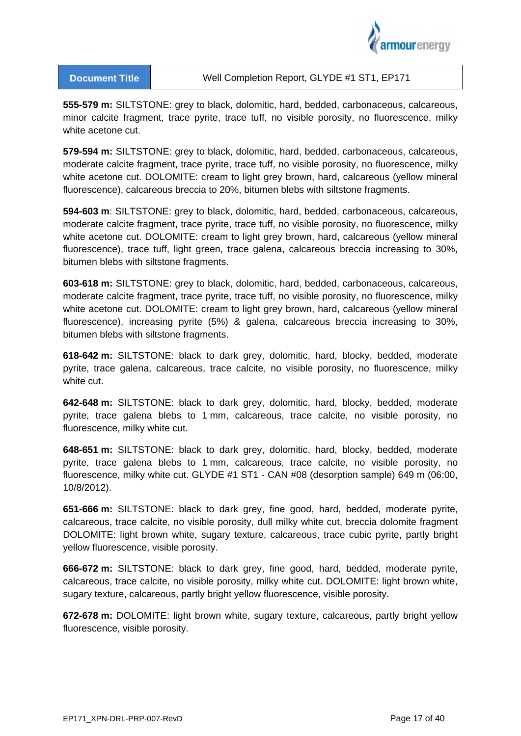

**555-579 m:** SILTSTONE: grey to black, dolomitic, hard, bedded, carbonaceous, calcareous, minor calcite fragment, trace pyrite, trace tuff, no visible porosity, no fluorescence, milky white acetone cut.

**579-594 m:** SILTSTONE: grey to black, dolomitic, hard, bedded, carbonaceous, calcareous, moderate calcite fragment, trace pyrite, trace tuff, no visible porosity, no fluorescence, milky white acetone cut. DOLOMITE: cream to light grey brown, hard, calcareous (yellow mineral fluorescence), calcareous breccia to 20%, bitumen blebs with siltstone fragments.

**594-603 m**: SILTSTONE: grey to black, dolomitic, hard, bedded, carbonaceous, calcareous, moderate calcite fragment, trace pyrite, trace tuff, no visible porosity, no fluorescence, milky white acetone cut. DOLOMITE: cream to light grey brown, hard, calcareous (yellow mineral fluorescence), trace tuff, light green, trace galena, calcareous breccia increasing to 30%, bitumen blebs with siltstone fragments.

**603-618 m:** SILTSTONE: grey to black, dolomitic, hard, bedded, carbonaceous, calcareous, moderate calcite fragment, trace pyrite, trace tuff, no visible porosity, no fluorescence, milky white acetone cut. DOLOMITE: cream to light grey brown, hard, calcareous (yellow mineral fluorescence), increasing pyrite (5%) & galena, calcareous breccia increasing to 30%, bitumen blebs with siltstone fragments.

**618-642 m:** SILTSTONE: black to dark grey, dolomitic, hard, blocky, bedded, moderate pyrite, trace galena, calcareous, trace calcite, no visible porosity, no fluorescence, milky white cut.

**642-648 m:** SILTSTONE: black to dark grey, dolomitic, hard, blocky, bedded, moderate pyrite, trace galena blebs to 1 mm, calcareous, trace calcite, no visible porosity, no fluorescence, milky white cut.

**648-651 m:** SILTSTONE: black to dark grey, dolomitic, hard, blocky, bedded, moderate pyrite, trace galena blebs to 1 mm, calcareous, trace calcite, no visible porosity, no fluorescence, milky white cut. GLYDE #1 ST1 - CAN #08 (desorption sample) 649 m (06:00, 10/8/2012).

**651-666 m:** SILTSTONE: black to dark grey, fine good, hard, bedded, moderate pyrite, calcareous, trace calcite, no visible porosity, dull milky white cut, breccia dolomite fragment DOLOMITE: light brown white, sugary texture, calcareous, trace cubic pyrite, partly bright yellow fluorescence, visible porosity.

**666-672 m:** SILTSTONE: black to dark grey, fine good, hard, bedded, moderate pyrite, calcareous, trace calcite, no visible porosity, milky white cut. DOLOMITE: light brown white, sugary texture, calcareous, partly bright yellow fluorescence, visible porosity.

**672-678 m:** DOLOMITE: light brown white, sugary texture, calcareous, partly bright yellow fluorescence, visible porosity.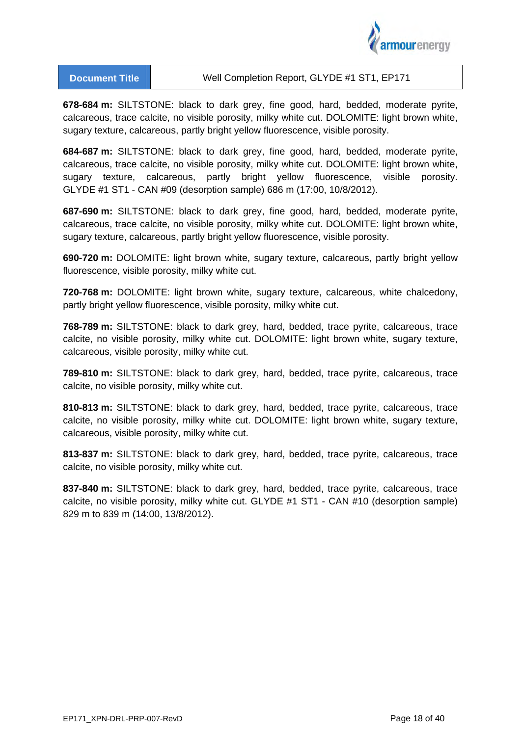

**678-684 m:** SILTSTONE: black to dark grey, fine good, hard, bedded, moderate pyrite, calcareous, trace calcite, no visible porosity, milky white cut. DOLOMITE: light brown white, sugary texture, calcareous, partly bright yellow fluorescence, visible porosity.

**684-687 m:** SILTSTONE: black to dark grey, fine good, hard, bedded, moderate pyrite, calcareous, trace calcite, no visible porosity, milky white cut. DOLOMITE: light brown white, sugary texture, calcareous, partly bright yellow fluorescence, visible porosity. GLYDE #1 ST1 - CAN #09 (desorption sample) 686 m (17:00, 10/8/2012).

**687-690 m:** SILTSTONE: black to dark grey, fine good, hard, bedded, moderate pyrite, calcareous, trace calcite, no visible porosity, milky white cut. DOLOMITE: light brown white, sugary texture, calcareous, partly bright yellow fluorescence, visible porosity.

**690-720 m:** DOLOMITE: light brown white, sugary texture, calcareous, partly bright yellow fluorescence, visible porosity, milky white cut.

**720-768 m:** DOLOMITE: light brown white, sugary texture, calcareous, white chalcedony, partly bright yellow fluorescence, visible porosity, milky white cut.

**768-789 m:** SILTSTONE: black to dark grey, hard, bedded, trace pyrite, calcareous, trace calcite, no visible porosity, milky white cut. DOLOMITE: light brown white, sugary texture, calcareous, visible porosity, milky white cut.

**789-810 m:** SILTSTONE: black to dark grey, hard, bedded, trace pyrite, calcareous, trace calcite, no visible porosity, milky white cut.

**810-813 m:** SILTSTONE: black to dark grey, hard, bedded, trace pyrite, calcareous, trace calcite, no visible porosity, milky white cut. DOLOMITE: light brown white, sugary texture, calcareous, visible porosity, milky white cut.

**813-837 m:** SILTSTONE: black to dark grey, hard, bedded, trace pyrite, calcareous, trace calcite, no visible porosity, milky white cut.

**837-840 m:** SILTSTONE: black to dark grey, hard, bedded, trace pyrite, calcareous, trace calcite, no visible porosity, milky white cut. GLYDE #1 ST1 - CAN #10 (desorption sample) 829 m to 839 m (14:00, 13/8/2012).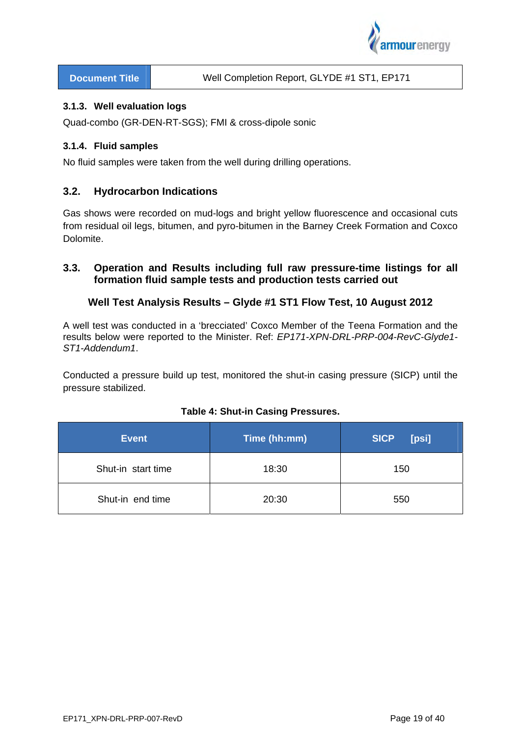

#### **3.1.3. Well evaluation logs**

Quad-combo (GR-DEN-RT-SGS); FMI & cross-dipole sonic

### **3.1.4. Fluid samples**

No fluid samples were taken from the well during drilling operations.

## **3.2. Hydrocarbon Indications**

Gas shows were recorded on mud-logs and bright yellow fluorescence and occasional cuts from residual oil legs, bitumen, and pyro-bitumen in the Barney Creek Formation and Coxco Dolomite.

## **3.3. Operation and Results including full raw pressure-time listings for all formation fluid sample tests and production tests carried out**

## **Well Test Analysis Results – Glyde #1 ST1 Flow Test, 10 August 2012**

A well test was conducted in a 'brecciated' Coxco Member of the Teena Formation and the results below were reported to the Minister. Ref: *EP171-XPN-DRL-PRP-004-RevC-Glyde1- ST1-Addendum1*.

Conducted a pressure build up test, monitored the shut-in casing pressure (SICP) until the pressure stabilized.

| <b>Event</b>       | Time (hh:mm) | <b>SICP</b><br>[psi] |
|--------------------|--------------|----------------------|
| Shut-in start time | 18:30        | 150                  |
| Shut-in end time   | 20:30        | 550                  |

#### **Table 4: Shut-in Casing Pressures.**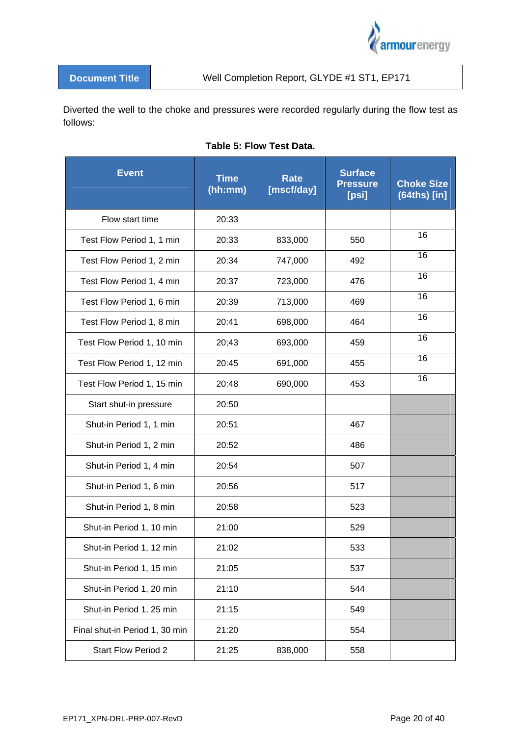

Diverted the well to the choke and pressures were recorded regularly during the flow test as follows:

|  | <b>Table 5: Flow Test Data.</b> |  |  |
|--|---------------------------------|--|--|
|--|---------------------------------|--|--|

| <b>Event</b>                   | <b>Time</b><br>(hh:mm) | <b>Rate</b><br>[mscf/day] | <b>Surface</b><br><b>Pressure</b><br>[psi] | <b>Choke Size</b><br>$(64ths)$ [in] |
|--------------------------------|------------------------|---------------------------|--------------------------------------------|-------------------------------------|
| Flow start time                | 20:33                  |                           |                                            |                                     |
| Test Flow Period 1, 1 min      | 20:33                  | 833,000                   | 550                                        | 16                                  |
| Test Flow Period 1, 2 min      | 20:34                  | 747,000                   | 492                                        | 16                                  |
| Test Flow Period 1, 4 min      | 20:37                  | 723,000                   | 476                                        | 16                                  |
| Test Flow Period 1, 6 min      | 20:39                  | 713,000                   | 469                                        | 16                                  |
| Test Flow Period 1, 8 min      | 20:41                  | 698,000                   | 464                                        | 16                                  |
| Test Flow Period 1, 10 min     | 20;43                  | 693,000                   | 459                                        | 16                                  |
| Test Flow Period 1, 12 min     | 20:45                  | 691,000                   | 455                                        | 16                                  |
| Test Flow Period 1, 15 min     | 20:48                  | 690,000                   | 453                                        | 16                                  |
| Start shut-in pressure         | 20:50                  |                           |                                            |                                     |
| Shut-in Period 1, 1 min        | 20:51                  |                           | 467                                        |                                     |
| Shut-in Period 1, 2 min        | 20:52                  |                           | 486                                        |                                     |
| Shut-in Period 1, 4 min        | 20:54                  |                           | 507                                        |                                     |
| Shut-in Period 1, 6 min        | 20:56                  |                           | 517                                        |                                     |
| Shut-in Period 1, 8 min        | 20:58                  |                           | 523                                        |                                     |
| Shut-in Period 1, 10 min       | 21:00                  |                           | 529                                        |                                     |
| Shut-in Period 1, 12 min       | 21:02                  |                           | 533                                        |                                     |
| Shut-in Period 1, 15 min       | 21:05                  |                           | 537                                        |                                     |
| Shut-in Period 1, 20 min       | 21:10                  |                           | 544                                        |                                     |
| Shut-in Period 1, 25 min       | 21:15                  |                           | 549                                        |                                     |
| Final shut-in Period 1, 30 min | 21:20                  |                           | 554                                        |                                     |
| <b>Start Flow Period 2</b>     | 21:25                  | 838,000                   | 558                                        |                                     |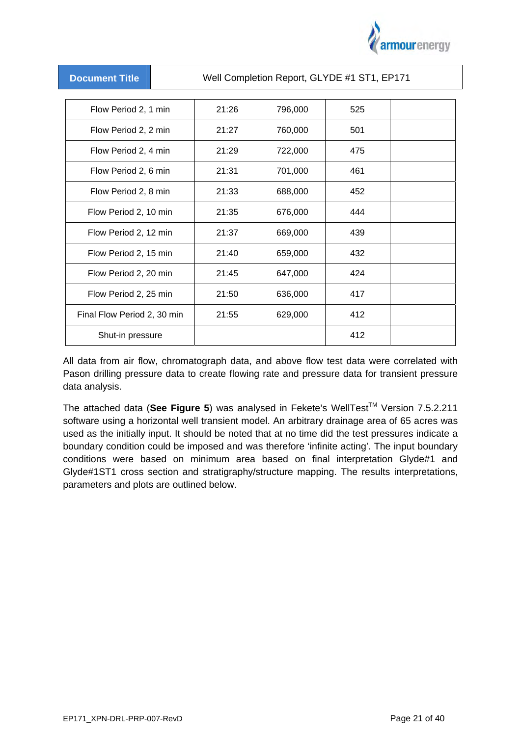

| Well Completion Report, GLYDE #1 ST1, EP171<br><b>Document Title</b> |       |         |     |  |
|----------------------------------------------------------------------|-------|---------|-----|--|
|                                                                      |       |         |     |  |
| Flow Period 2, 1 min                                                 | 21:26 | 796,000 | 525 |  |
| Flow Period 2, 2 min                                                 | 21:27 | 760,000 | 501 |  |
| Flow Period 2, 4 min                                                 | 21:29 | 722,000 | 475 |  |
| Flow Period 2, 6 min                                                 | 21:31 | 701,000 | 461 |  |
| Flow Period 2, 8 min                                                 | 21:33 | 688,000 | 452 |  |
| Flow Period 2, 10 min                                                | 21:35 | 676,000 | 444 |  |
| Flow Period 2, 12 min                                                | 21:37 | 669,000 | 439 |  |
| Flow Period 2, 15 min                                                | 21:40 | 659,000 | 432 |  |
| Flow Period 2, 20 min                                                | 21:45 | 647,000 | 424 |  |
| Flow Period 2, 25 min                                                | 21:50 | 636,000 | 417 |  |
| Final Flow Period 2, 30 min                                          | 21:55 | 629,000 | 412 |  |
| Shut-in pressure                                                     |       |         | 412 |  |

All data from air flow, chromatograph data, and above flow test data were correlated with Pason drilling pressure data to create flowing rate and pressure data for transient pressure data analysis.

The attached data (See Figure 5) was analysed in Fekete's WellTest<sup>™</sup> Version 7.5.2.211 software using a horizontal well transient model. An arbitrary drainage area of 65 acres was used as the initially input. It should be noted that at no time did the test pressures indicate a boundary condition could be imposed and was therefore 'infinite acting'. The input boundary conditions were based on minimum area based on final interpretation Glyde#1 and Glyde#1ST1 cross section and stratigraphy/structure mapping. The results interpretations, parameters and plots are outlined below.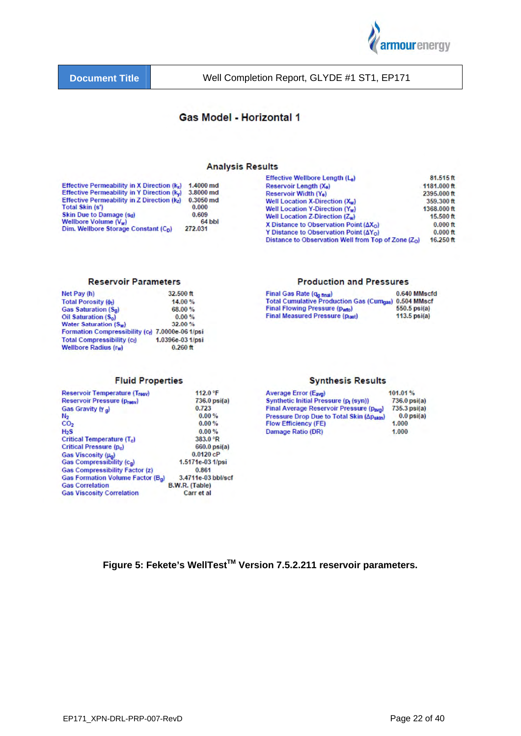

## **Gas Model - Horizontal 1**

#### **Analysis Results**

|                                                  |             | Effective Wellbore Length (La)                        | 81.515ft    |
|--------------------------------------------------|-------------|-------------------------------------------------------|-------------|
| Effective Permeability in X Direction $(k_x)$    | 1.4000 md   | Reservoir Length (X <sub>e</sub> )                    | 1181.000 ft |
| Effective Permeability in Y Direction (ky)       | 3.8000 md   | Reservoir Width (Ye)                                  | 2395,000 ft |
| Effective Permeability in Z Direction (kz)       | $0.3050$ md | Well Location X-Direction (Xw)                        | 359.300 ft  |
| <b>Total Skin (s')</b>                           | 0.000       | Well Location Y-Direction (Y <sub>w</sub> )           | 1368,000 ft |
| Skin Due to Damage (sd)                          | 0.609       | Well Location Z-Direction $(Z_w)$                     | $15.500$ ft |
| Wellbore Volume $(V_w)$                          | 64 bbl      | X Distance to Observation Point $(\Delta X_{\Omega})$ | $0.000$ ft  |
| Dim. Wellbore Storage Constant (C <sub>n</sub> ) | 272.031     | Y Distance to Observation Point $(\Delta Y_0)$        | $0.000$ ft  |
|                                                  |             | Distance to Observation Well from Top of Zone $(Z_0)$ | $16.250$ ft |

#### **Reservoir Parameters**

| 14.00%<br><b>Total Porosity (0+)</b><br>Gas Saturation (S <sub>g</sub> )<br>68.00%<br>Oil Saturation (S <sub>o</sub> )<br>0.00%<br>Water Saturation (Sw)<br>32.00%<br>Formation Compressibility (c) 7.0000e-06 1/psi<br>1.0396e-03 1/psi<br><b>Total Compressibility (ct)</b><br><b>Wellbore Radius (rw)</b><br>$0.260$ ft | Net Pay (h) | $32,500$ ft |
|----------------------------------------------------------------------------------------------------------------------------------------------------------------------------------------------------------------------------------------------------------------------------------------------------------------------------|-------------|-------------|
|                                                                                                                                                                                                                                                                                                                            |             |             |
|                                                                                                                                                                                                                                                                                                                            |             |             |
|                                                                                                                                                                                                                                                                                                                            |             |             |
|                                                                                                                                                                                                                                                                                                                            |             |             |
|                                                                                                                                                                                                                                                                                                                            |             |             |
|                                                                                                                                                                                                                                                                                                                            |             |             |
|                                                                                                                                                                                                                                                                                                                            |             |             |

#### **Fluid Properties**

| <b>Reservoir Temperature (Treev)</b>          | 112.0 °F           |
|-----------------------------------------------|--------------------|
| <b>Reservoir Pressure (presv)</b>             | 736.0 psi(a)       |
| Gas Gravity (Y a)                             | 0.723              |
| N <sub>2</sub>                                | 0.00%              |
| CO <sub>2</sub>                               | 0.00%              |
| H <sub>2</sub> S                              | 0.00%              |
| Critical Temperature (T <sub>e</sub> )        | 383.0 °R           |
| Critical Pressure (p <sub>c</sub> )           | 660.0 psi(a)       |
| Gas Viscosity (µ <sub>a</sub> )               | 0.0120cP           |
| Gas Compressibility (cg)                      | 1.5171e-03 1/psi   |
| <b>Gas Compressibility Factor (z)</b>         | 0.861              |
| Gas Formation Volume Factor (B <sub>a</sub> ) | 3.4711e-03 bbl/scf |
| <b>Gas Correlation</b>                        | B.W.R. (Table)     |
| <b>Gas Viscosity Correlation</b>              | Carr et al         |

#### **Production and Pressures**

| Final Gas Rate (q <sub>a final</sub> )                      | 0.640 MMscfd   |
|-------------------------------------------------------------|----------------|
| <b>Total Cumulative Production Gas (Cumass) 0.504 MMscf</b> |                |
| Final Flowing Pressure (pwto)                               | $550.5$ psi(a) |
| <b>Final Measured Pressure (plast)</b>                      | $113.5$ psi(a) |

#### **Synthesis Results**

| Average Error (Eava)                              | 101.01%         |
|---------------------------------------------------|-----------------|
| Synthetic Initial Pressure (p <sub>1</sub> (syn)) | $736.0$ psi(a)  |
| Final Average Reservoir Pressure (pava)           | $735.3$ psi(a)  |
| Pressure Drop Due to Total Skin (Apskin)          | $0.0$ psi $(a)$ |
| <b>Flow Efficiency (FE)</b>                       | 1.000           |
| Damage Ratio (DR)                                 | 1.000           |

Figure 5: Fekete's WellTest<sup>™</sup> Version 7.5.2.211 reservoir parameters.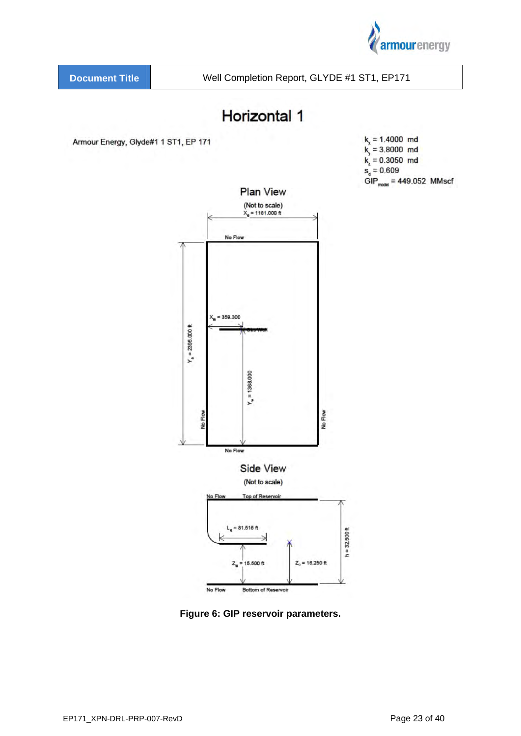



**Figure 6: GIP reservoir parameters.**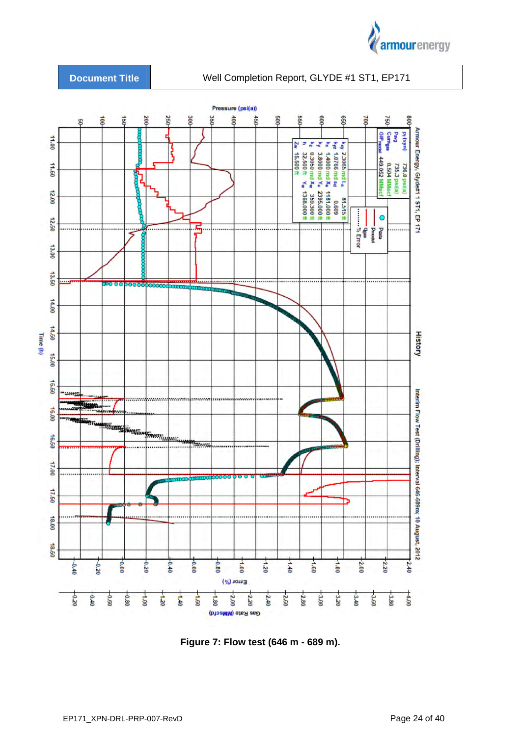



**Figure 7: Flow test (646 m - 689 m).**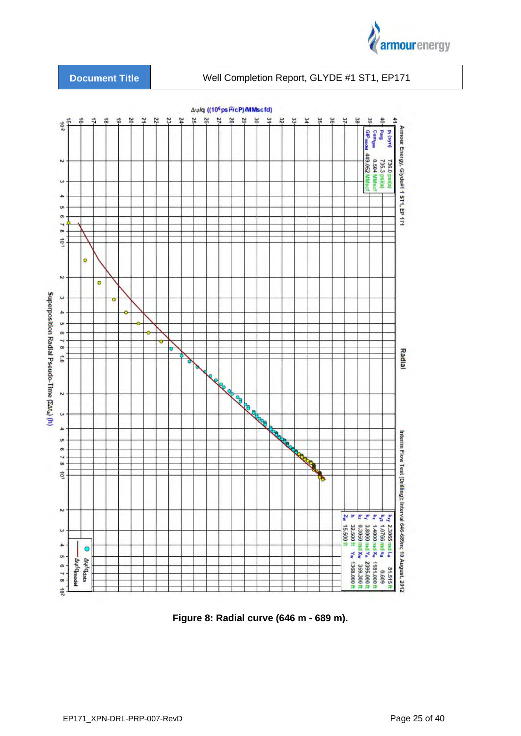





**Figure 8: Radial curve (646 m - 689 m).**